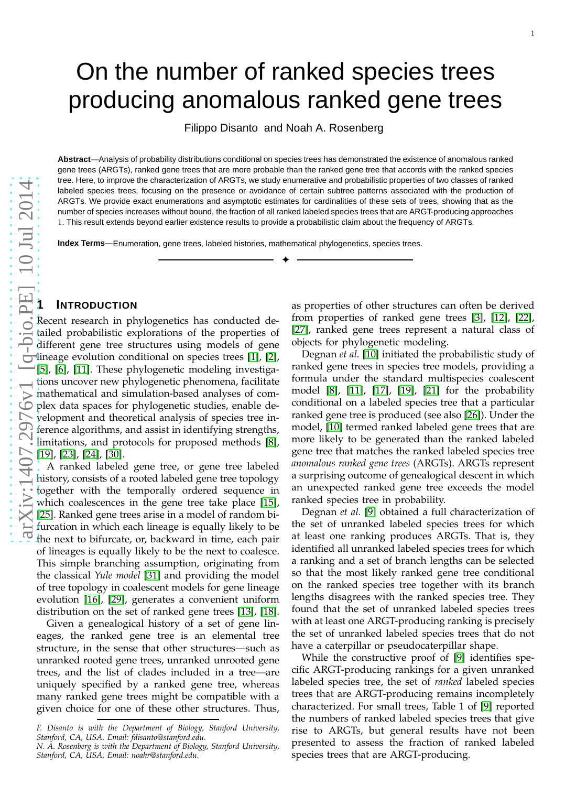# On the number of ranked species trees producing anomalous ranked gene trees

Filippo Disanto and Noah A. Rosenberg

**Abstract**—Analysis of probability distributions conditional on species trees has demonstrated the existence of anomalous ranked gene trees (ARGTs), ranked gene trees that are more probable than the ranked gene tree that accords with the ranked specie s tree. Here, to improve the characterization of ARGTs, we study enumerative and probabilistic properties of two classes of ranked labeled species trees, focusing on the presence or avoidance of certain subtree patterns associated with the production of ARGTs. We provide exact enumerations and asymptotic estimates for cardinalities of these sets of trees, showing that as the number of species increases without bound, the fraction of all ranked labeled species trees that are ARGT-producing approaches 1. This result extends beyond earlier existence results to provide a probabilistic claim about the frequency of ARGTs.

✦

**Index Terms** Index Terms-Enumeration, gene trees, labeled histories, mathematical phylogenetics, species trees.

# **1 INTRODUCTION**

Recent research in phylogenetics has conducted detailed probabilistic explorations of the properties of different gene tree structures using models of gene lineage evolution conditional on species trees [\[1\]](#page-8-0), [\[2\]](#page-8-1), [\[5\]](#page-8-2), [\[6\]](#page-8-3), [\[11\]](#page-9-0). These phylogenetic modeling investigations uncover new phylogenetic phenomena, facilitate mathematical and simulation-based analyses of complex data spaces for phylogenetic studies, enable development and theoretical analysis of species tree inference algorithms, and assist in identifying strengths, limitations, and protocols for proposed methods [\[8\]](#page-8-4), [\[19\]](#page-9-1), [\[23\]](#page-9-2), [\[24\]](#page-9-3), [\[30\]](#page-9-4).

A ranked labeled gene tree, or gene tree labeled history, consists of a rooted labeled gene tree topology together with the temporally ordered sequence in which coalescences in the gene tree take place [\[15\]](#page-9-5), [\[25\]](#page-9-6). Ranked gene trees arise in a model of random bifurcation in which each lineage is equally likely to be the next to bifurcate, or, backward in time, each pair of lineages is equally likely to be the next to coalesce. This simple branching assumption, originating from the classical *Yule model* [\[31\]](#page-9-7) and providing the model of tree topology in coalescent models for gene lineage evolution [\[16\]](#page-9-8), [\[29\]](#page-9-9), generates a convenient uniform distribution on the set of ranked gene trees [\[13\]](#page-9-10), [\[18\]](#page-9-11).

Given a genealogical history of a set of gene lineages, the ranked gene tree is an elemental tree structure, in the sense that other structures—such as unranked rooted gene trees, unranked unrooted gene trees, and the list of clades included in a tree—are uniquely specified by a ranked gene tree, whereas many ranked gene trees might be compatible with a given choice for one of these other structures. Thus,

*F. Disanto is with the Department of Biology, Stanford University, Stanford, CA, USA. Email: fdisanto@stanford.edu.*

as properties of other structures can often be derived from properties of ranked gene trees [\[3\]](#page-8-5), [\[12\]](#page-9-12), [\[22\]](#page-9-13), [\[27\]](#page-9-14), ranked gene trees represent a natural class of objects for phylogenetic modeling.

Degnan *et al.* [\[10\]](#page-8-6) initiated the probabilistic study of ranked gene trees in species tree models, providing a formula under the standard multispecies coalescent model [\[8\]](#page-8-4), [\[11\]](#page-9-0), [\[17\]](#page-9-15), [\[19\]](#page-9-1), [\[21\]](#page-9-16) for the probability conditional on a labeled species tree that a particular ranked gene tree is produced (see also [\[26\]](#page-9-17)). Under the model, [\[10\]](#page-8-6) termed ranked labeled gene trees that are more likely to be generated than the ranked labeled gene tree that matches the ranked labeled species tree *anomalous ranked gene trees* (ARGTs). ARGTs represent a surprising outcome of genealogical descent in which an unexpected ranked gene tree exceeds the model ranked species tree in probability.

Degnan *et al.* [\[9\]](#page-8-7) obtained a full characterization of the set of unranked labeled species trees for which at least one ranking produces ARGTs. That is, they identified all unranked labeled species trees for which a ranking and a set of branch lengths can be selected so that the most likely ranked gene tree conditional on the ranked species tree together with its branch lengths disagrees with the ranked species tree. They found that the set of unranked labeled species trees with at least one ARGT-producing ranking is precisely the set of unranked labeled species trees that do not have a caterpillar or pseudocaterpillar shape.

While the constructive proof of [\[9\]](#page-8-7) identifies specific ARGT-producing rankings for a given unranked labeled species tree, the set of *ranked* labeled species trees that are ARGT-producing remains incompletely characterized. For small trees, Table 1 of [\[9\]](#page-8-7) reported the numbers of ranked labeled species trees that give rise to ARGTs, but general results have not been presented to assess the fraction of ranked labeled species trees that are ARGT-producing.

*N. A. Rosenberg is with the Department of Biology, Stanford University, Stanford, CA, USA. Email: noahr@stanford.edu.*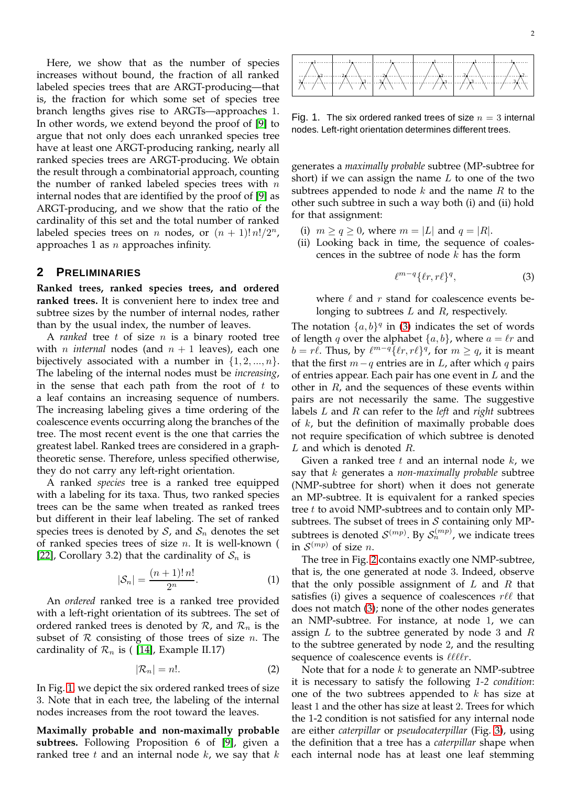Here, we show that as the number of species increases without bound, the fraction of all ranked labeled species trees that are ARGT-producing—that is, the fraction for which some set of species tree branch lengths gives rise to ARGTs—approaches 1. In other words, we extend beyond the proof of [\[9\]](#page-8-7) to argue that not only does each unranked species tree have at least one ARGT-producing ranking, nearly all ranked species trees are ARGT-producing. We obtain the result through a combinatorial approach, counting the number of ranked labeled species trees with  $n$ internal nodes that are identified by the proof of [\[9\]](#page-8-7) as ARGT-producing, and we show that the ratio of the cardinality of this set and the total number of ranked labeled species trees on *n* nodes, or  $(n + 1)! n! / 2^n$ , approaches 1 as  $n$  approaches infinity.

#### **2 PRELIMINARIES**

**Ranked trees, ranked species trees, and ordered ranked trees.** It is convenient here to index tree and subtree sizes by the number of internal nodes, rather than by the usual index, the number of leaves.

A *ranked* tree t of size n is a binary rooted tree with *n internal* nodes (and  $n + 1$  leaves), each one bijectively associated with a number in  $\{1, 2, ..., n\}$ . The labeling of the internal nodes must be *increasing*, in the sense that each path from the root of  $t$  to a leaf contains an increasing sequence of numbers. The increasing labeling gives a time ordering of the coalescence events occurring along the branches of the tree. The most recent event is the one that carries the greatest label. Ranked trees are considered in a graphtheoretic sense. Therefore, unless specified otherwise, they do not carry any left-right orientation.

A ranked *species* tree is a ranked tree equipped with a labeling for its taxa. Thus, two ranked species trees can be the same when treated as ranked trees but different in their leaf labeling. The set of ranked species trees is denoted by  $S$ , and  $S_n$  denotes the set of ranked species trees of size  $n$ . It is well-known ( [\[22\]](#page-9-13), Corollary 3.2) that the cardinality of  $S_n$  is

<span id="page-1-2"></span>
$$
|S_n| = \frac{(n+1)! \, n!}{2^n}.
$$
 (1)

An *ordered* ranked tree is a ranked tree provided with a left-right orientation of its subtrees. The set of ordered ranked trees is denoted by  $\mathcal{R}_n$ , and  $\mathcal{R}_n$  is the subset of  $R$  consisting of those trees of size  $n$ . The cardinality of  $\mathcal{R}_n$  is ( [\[14\]](#page-9-18), Example II.17)

$$
|\mathcal{R}_n| = n!.
$$
 (2)

In Fig. [1,](#page-1-0) we depict the six ordered ranked trees of size 3. Note that in each tree, the labeling of the internal nodes increases from the root toward the leaves.

**Maximally probable and non-maximally probable subtrees.** Following Proposition 6 of [\[9\]](#page-8-7), given a ranked tree  $t$  and an internal node  $k$ , we say that  $k$ 



<span id="page-1-0"></span>Fig. 1. The six ordered ranked trees of size  $n = 3$  internal nodes. Left-right orientation determines different trees.

generates a *maximally probable* subtree (MP-subtree for short) if we can assign the name  $L$  to one of the two subtrees appended to node  $k$  and the name  $R$  to the other such subtree in such a way both (i) and (ii) hold for that assignment:

- (i)  $m \ge q \ge 0$ , where  $m = |L|$  and  $q = |R|$ .
- (ii) Looking back in time, the sequence of coalescences in the subtree of node  $k$  has the form

<span id="page-1-1"></span>
$$
\ell^{m-q}\{\ell r, r\ell\}^q,\tag{3}
$$

where  $\ell$  and  $r$  stand for coalescence events belonging to subtrees  $L$  and  $R$ , respectively.

The notation  $\{a, b\}^q$  in [\(3\)](#page-1-1) indicates the set of words of length q over the alphabet  $\{a, b\}$ , where  $a = \ell r$  and  $b = r\ell$ . Thus, by  $\ell^{m-q} {\{\ell r, r\ell\}}^q$ , for  $m \ge q$ , it is meant that the first  $m-q$  entries are in  $L$ , after which q pairs of entries appear. Each pair has one event in  $L$  and the other in  $R$ , and the sequences of these events within pairs are not necessarily the same. The suggestive labels L and R can refer to the *left* and *right* subtrees of  $k$ , but the definition of maximally probable does not require specification of which subtree is denoted L and which is denoted R.

Given a ranked tree  $t$  and an internal node  $k$ , we say that k generates a *non-maximally probable* subtree (NMP-subtree for short) when it does not generate an MP-subtree. It is equivalent for a ranked species tree  $t$  to avoid NMP-subtrees and to contain only MPsubtrees. The subset of trees in  $S$  containing only MPsubtrees is denoted  $S^{(mp)}$ . By  $S_n^{(mp)}$ , we indicate trees in  $\mathcal{S}^{(mp)}$  of size *n*.

The tree in Fig. [2](#page-2-0) contains exactly one NMP-subtree, that is, the one generated at node 3. Indeed, observe that the only possible assignment of  $L$  and  $R$  that satisfies (i) gives a sequence of coalescences  $r\ell\ell$  that does not match [\(3\)](#page-1-1); none of the other nodes generates an NMP-subtree. For instance, at node 1, we can assign  $L$  to the subtree generated by node 3 and  $R$ to the subtree generated by node 2, and the resulting sequence of coalescence events is  $\ell \ell \ell \ell r$ .

Note that for a node  $k$  to generate an NMP-subtree it is necessary to satisfy the following *1-2 condition*: one of the two subtrees appended to  $k$  has size at least 1 and the other has size at least 2. Trees for which the 1-2 condition is not satisfied for any internal node are either *caterpillar* or *pseudocaterpillar* (Fig. [3\)](#page-2-1), using the definition that a tree has a *caterpillar* shape when each internal node has at least one leaf stemming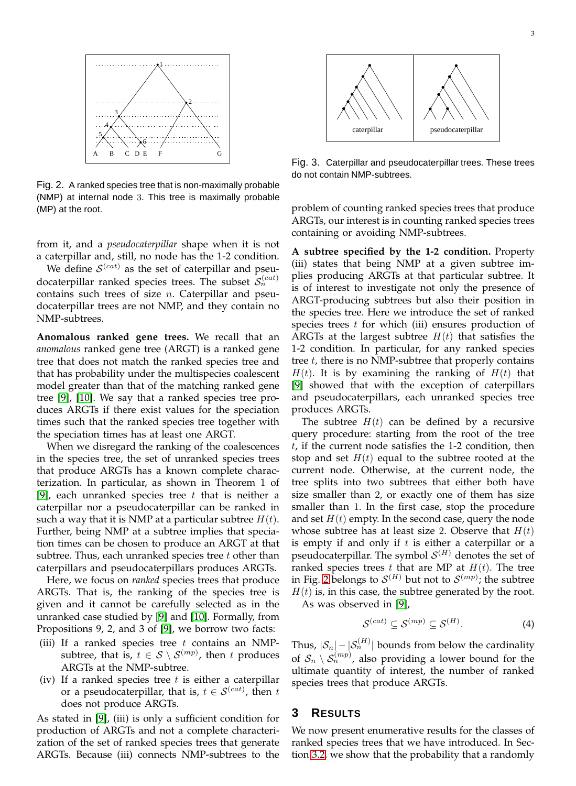

<span id="page-2-0"></span>Fig. 2. A ranked species tree that is non-maximally probable (NMP) at internal node 3. This tree is maximally probable (MP) at the root.

from it, and a *pseudocaterpillar* shape when it is not a caterpillar and, still, no node has the 1-2 condition.

We define  $\mathcal{S}^{(cat)}$  as the set of caterpillar and pseudocaterpillar ranked species trees. The subset  $S_n^{(cat)}$ contains such trees of size  $n$ . Caterpillar and pseudocaterpillar trees are not NMP, and they contain no NMP-subtrees.

**Anomalous ranked gene trees.** We recall that an *anomalous* ranked gene tree (ARGT) is a ranked gene tree that does not match the ranked species tree and that has probability under the multispecies coalescent model greater than that of the matching ranked gene tree [\[9\]](#page-8-7), [\[10\]](#page-8-6). We say that a ranked species tree produces ARGTs if there exist values for the speciation times such that the ranked species tree together with the speciation times has at least one ARGT.

When we disregard the ranking of the coalescences in the species tree, the set of unranked species trees that produce ARGTs has a known complete characterization. In particular, as shown in Theorem 1 of [\[9\]](#page-8-7), each unranked species tree  $t$  that is neither a caterpillar nor a pseudocaterpillar can be ranked in such a way that it is NMP at a particular subtree  $H(t)$ . Further, being NMP at a subtree implies that speciation times can be chosen to produce an ARGT at that subtree. Thus, each unranked species tree  $t$  other than caterpillars and pseudocaterpillars produces ARGTs.

Here, we focus on *ranked* species trees that produce ARGTs. That is, the ranking of the species tree is given and it cannot be carefully selected as in the unranked case studied by [\[9\]](#page-8-7) and [\[10\]](#page-8-6). Formally, from Propositions 9, 2, and 3 of [\[9\]](#page-8-7), we borrow two facts:

- (iii) If a ranked species tree  $t$  contains an NMPsubtree, that is,  $t \in S \setminus \mathcal{S}^{(mp)}$ , then t produces ARGTs at the NMP-subtree.
- (iv) If a ranked species tree  $t$  is either a caterpillar or a pseudocaterpillar, that is,  $t \in S^{(cat)}$ , then  $t$ does not produce ARGTs.

As stated in [\[9\]](#page-8-7), (iii) is only a sufficient condition for production of ARGTs and not a complete characterization of the set of ranked species trees that generate ARGTs. Because (iii) connects NMP-subtrees to the



<span id="page-2-1"></span>Fig. 3. Caterpillar and pseudocaterpillar trees. These trees do not contain NMP-subtrees.

problem of counting ranked species trees that produce ARGTs, our interest is in counting ranked species trees containing or avoiding NMP-subtrees.

**A subtree specified by the 1-2 condition.** Property (iii) states that being NMP at a given subtree implies producing ARGTs at that particular subtree. It is of interest to investigate not only the presence of ARGT-producing subtrees but also their position in the species tree. Here we introduce the set of ranked species trees  $t$  for which (iii) ensures production of ARGTs at the largest subtree  $H(t)$  that satisfies the 1-2 condition. In particular, for any ranked species tree  $t$ , there is no NMP-subtree that properly contains  $H(t)$ . It is by examining the ranking of  $H(t)$  that [\[9\]](#page-8-7) showed that with the exception of caterpillars and pseudocaterpillars, each unranked species tree produces ARGTs.

The subtree  $H(t)$  can be defined by a recursive query procedure: starting from the root of the tree t, if the current node satisfies the 1-2 condition, then stop and set  $H(t)$  equal to the subtree rooted at the current node. Otherwise, at the current node, the tree splits into two subtrees that either both have size smaller than 2, or exactly one of them has size smaller than 1. In the first case, stop the procedure and set  $H(t)$  empty. In the second case, query the node whose subtree has at least size 2. Observe that  $H(t)$ is empty if and only if  $t$  is either a caterpillar or a pseudocaterpillar. The symbol  $\mathcal{S}^{(H)}$  denotes the set of ranked species trees  $t$  that are MP at  $H(t)$ . The tree in Fig. [2](#page-2-0) belongs to  $\mathcal{S}^{(H)}$  but not to  $\mathcal{S}^{(mp)}$ ; the subtree  $H(t)$  is, in this case, the subtree generated by the root. As was observed in [\[9\]](#page-8-7),

<span id="page-2-2"></span>
$$
S^{(cat)} \subseteq S^{(mp)} \subseteq S^{(H)}.
$$
 (4)

Thus,  $|\mathcal{S}_n| - |\mathcal{S}_n^{(H)}|$  bounds from below the cardinality of  $\mathcal{S}_n \setminus \mathcal{S}_n^{(mp)}$ , also providing a lower bound for the ultimate quantity of interest, the number of ranked species trees that produce ARGTs.

## **3 RESULTS**

We now present enumerative results for the classes of ranked species trees that we have introduced. In Section [3.2,](#page-3-0) we show that the probability that a randomly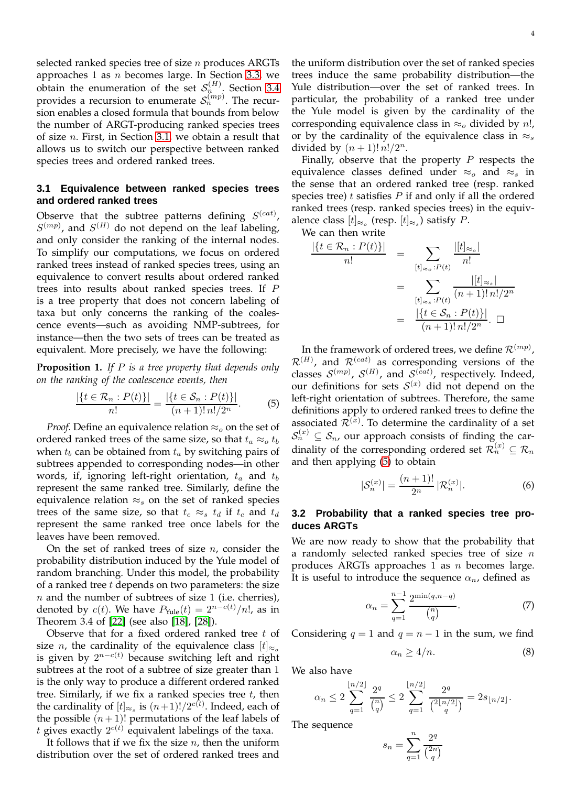selected ranked species tree of size  $n$  produces ARGTs approaches 1 as  $n$  becomes large. In Section [3.3,](#page-5-0) we obtain the enumeration of the set  $S_n^{(H)}$ . Section [3.4](#page-6-0) provides a recursion to enumerate  $\mathcal{S}_n^{(mp)}$ . The recursion enables a closed formula that bounds from below the number of ARGT-producing ranked species trees of size  $n$ . First, in Section [3.1,](#page-3-1) we obtain a result that allows us to switch our perspective between ranked species trees and ordered ranked trees.

## <span id="page-3-1"></span>**3.1 Equivalence between ranked species trees and ordered ranked trees**

Observe that the subtree patterns defining  $S^{(cat)}$ ,  $S^{(mp)}$ , and  $S^{(H)}$  do not depend on the leaf labeling, and only consider the ranking of the internal nodes. To simplify our computations, we focus on ordered ranked trees instead of ranked species trees, using an equivalence to convert results about ordered ranked trees into results about ranked species trees. If P is a tree property that does not concern labeling of taxa but only concerns the ranking of the coalescence events—such as avoiding NMP-subtrees, for instance—then the two sets of trees can be treated as equivalent. More precisely, we have the following:

**Proposition 1.** *If* P *is a tree property that depends only on the ranking of the coalescence events, then*

<span id="page-3-2"></span>
$$
\frac{|\{t \in \mathcal{R}_n : P(t)\}|}{n!} = \frac{|\{t \in \mathcal{S}_n : P(t)\}|}{(n+1)! \, n! / 2^n}.
$$
 (5)

*Proof.* Define an equivalence relation  $\approx_o$  on the set of ordered ranked trees of the same size, so that  $t_a \approx_o t_b$ when  $t_b$  can be obtained from  $t_a$  by switching pairs of subtrees appended to corresponding nodes—in other words, if, ignoring left-right orientation,  $t_a$  and  $t_b$ represent the same ranked tree. Similarly, define the equivalence relation  $\approx_s$  on the set of ranked species trees of the same size, so that  $t_c \approx_s t_d$  if  $t_c$  and  $t_d$ represent the same ranked tree once labels for the leaves have been removed.

On the set of ranked trees of size  $n$ , consider the probability distribution induced by the Yule model of random branching. Under this model, the probability of a ranked tree  $t$  depends on two parameters: the size  $n$  and the number of subtrees of size 1 (i.e. cherries), denoted by  $c(t)$ . We have  $P_{\text{Yule}}(t) = 2^{n - c(t)}/n!$ , as in Theorem 3.4 of [\[22\]](#page-9-13) (see also [\[18\]](#page-9-11), [\[28\]](#page-9-19)).

Observe that for a fixed ordered ranked tree t of size *n*, the cardinality of the equivalence class  $[t]_{\approx}$ is given by  $2^{n-c(t)}$  because switching left and right subtrees at the root of a subtree of size greater than 1 is the only way to produce a different ordered ranked tree. Similarly, if we fix a ranked species tree  $t$ , then the cardinality of  $[t]_{\approx_s}$  is  $(n+1)!/2^{c(t)}$ . Indeed, each of the possible  $(n+1)!$  permutations of the leaf labels of t gives exactly  $2^{c(t)}$  equivalent labelings of the taxa.

It follows that if we fix the size  $n$ , then the uniform distribution over the set of ordered ranked trees and

the uniform distribution over the set of ranked species trees induce the same probability distribution—the Yule distribution—over the set of ranked trees. In particular, the probability of a ranked tree under the Yule model is given by the cardinality of the corresponding equivalence class in  $\approx_o$  divided by *n*!, or by the cardinality of the equivalence class in  $\approx_s$ divided by  $(n + 1)! n!/2^n$ .

Finally, observe that the property  $P$  respects the equivalence classes defined under  $\approx_o$  and  $\approx_s$  in the sense that an ordered ranked tree (resp. ranked species tree)  $t$  satisfies  $P$  if and only if all the ordered ranked trees (resp. ranked species trees) in the equivalence class  $[t]_{\approx_o}$  (resp.  $[t]_{\approx_s}$ ) satisfy P.

We can then write

$$
\frac{|\{t \in \mathcal{R}_n : P(t)\}|}{n!} = \sum_{\substack{[t]_{\approx_o} : P(t) \\ \vdots \\ [t]_{\approx_s} : P(t) \ (n+1)! \ n! / 2^n}} \frac{|[t]_{\approx_o}|}{(n+1)! \ n! / 2^n}
$$

$$
= \frac{|\{t \in \mathcal{S}_n : P(t)\}|}{(n+1)! \ n! / 2^n}.
$$

In the framework of ordered trees, we define  $\mathcal{R}^{(mp)}$ ,  $\mathcal{R}^{(H)}$ , and  $\mathcal{R}^{(cat)}$  as corresponding versions of the classes  $\mathcal{S}^{(mp)}$ ,  $\mathcal{S}^{(H)}$ , and  $\mathcal{S}^{(cat)}$ , respectively. Indeed, our definitions for sets  $S^{(x)}$  did not depend on the left-right orientation of subtrees. Therefore, the same definitions apply to ordered ranked trees to define the associated  $\mathcal{R}^{(x)}$ . To determine the cardinality of a set  $\mathcal{S}_n^{(x)} \subseteq \mathcal{S}_n$ , our approach consists of finding the cardinality of the corresponding ordered set  $\mathcal{R}_n^{(x)} \subseteq \mathcal{R}_n$ and then applying [\(5\)](#page-3-2) to obtain

<span id="page-3-5"></span>
$$
|\mathcal{S}_n^{(x)}| = \frac{(n+1)!}{2^n} |\mathcal{R}_n^{(x)}|.
$$
 (6)

## <span id="page-3-0"></span>**3.2 Probability that a ranked species tree produces ARGTs**

We are now ready to show that the probability that a randomly selected ranked species tree of size  $n$ produces ARGTs approaches 1 as  $n$  becomes large. It is useful to introduce the sequence  $\alpha_n$ , defined as

<span id="page-3-3"></span>
$$
\alpha_n = \sum_{q=1}^{n-1} \frac{2^{\min(q, n-q)}}{\binom{n}{q}}.
$$
 (7)

Considering  $q = 1$  and  $q = n - 1$  in the sum, we find

<span id="page-3-4"></span>
$$
\alpha_n \ge 4/n. \tag{8}
$$

We also have

$$
\alpha_n \le 2 \sum_{q=1}^{\lfloor n/2 \rfloor} \frac{2^q}{\binom{n}{q}} \le 2 \sum_{q=1}^{\lfloor n/2 \rfloor} \frac{2^q}{\binom{2\lfloor n/2 \rfloor}{q}} = 2s_{\lfloor n/2 \rfloor}.
$$

The sequence

$$
s_n = \sum_{q=1}^n \frac{2^q}{\binom{2n}{q}}
$$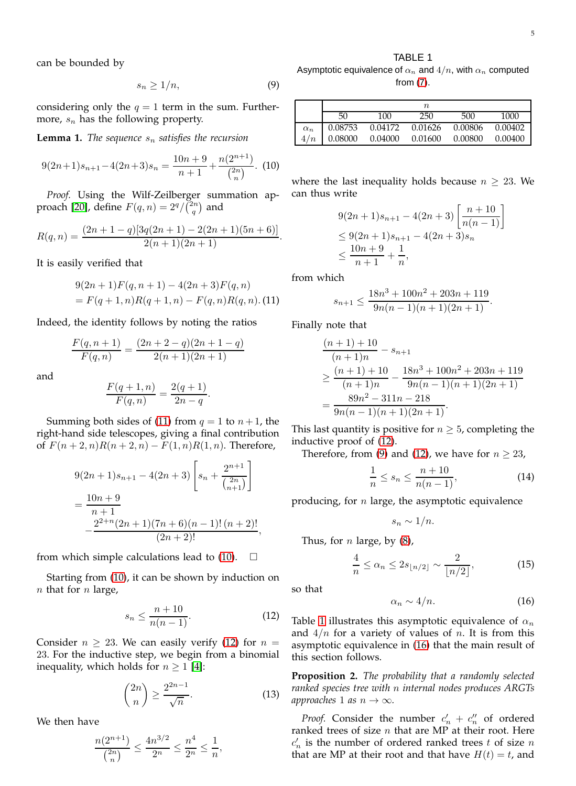#### TABLE 1

can be bounded by

<span id="page-4-3"></span>
$$
s_n \ge 1/n,\tag{9}
$$

considering only the  $q = 1$  term in the sum. Furthermore,  $s_n$  has the following property.

**Lemma 1.** *The sequence*  $s_n$  *satisfies the recursion* 

<span id="page-4-1"></span>
$$
9(2n+1)s_{n+1} - 4(2n+3)s_n = \frac{10n+9}{n+1} + \frac{n(2^{n+1})}{\binom{2n}{n}}.
$$
 (10)

*Proof.* Using the Wilf-Zeilberger summation ap-proach [\[20\]](#page-9-20), define  $F(q, n) = 2^q / \binom{2n}{q}$  and

$$
R(q,n) = \frac{(2n+1-q)[3q(2n+1)-2(2n+1)(5n+6)]}{2(n+1)(2n+1)}.
$$

It is easily verified that

<span id="page-4-0"></span>
$$
9(2n+1)F(q, n + 1) - 4(2n + 3)F(q, n)
$$
  
= F(q + 1, n)R(q + 1, n) - F(q, n)R(q, n). (11)

Indeed, the identity follows by noting the ratios

$$
\frac{F(q, n + 1)}{F(q, n)} = \frac{(2n + 2 - q)(2n + 1 - q)}{2(n + 1)(2n + 1)}
$$

and

$$
\frac{F(q+1,n)}{F(q,n)} = \frac{2(q+1)}{2n-q}.
$$

Summing both sides of [\(11\)](#page-4-0) from  $q = 1$  to  $n + 1$ , the right-hand side telescopes, giving a final contribution of  $F(n+2,n)R(n+2,n) - F(1,n)R(1,n)$ . Therefore,

$$
9(2n+1)s_{n+1} - 4(2n+3)\left[s_n + \frac{2^{n+1}}{\binom{2n}{n+1}}\right]
$$
  
= 
$$
\frac{10n+9}{n+1}
$$
  

$$
-\frac{2^{2+n}(2n+1)(7n+6)(n-1)!(n+2)!}{(2n+2)!},
$$

from which simple calculations lead to  $(10)$ .  $\square$ 

Starting from [\(10\)](#page-4-1), it can be shown by induction on  $n$  that for  $n$  large,

<span id="page-4-2"></span>
$$
s_n \le \frac{n+10}{n(n-1)}.\tag{12}
$$

Consider  $n \geq 23$ . We can easily verify [\(12\)](#page-4-2) for  $n =$ 23. For the inductive step, we begin from a binomial inequality, which holds for  $n \geq 1$  [\[4\]](#page-8-8):

<span id="page-4-9"></span>
$$
\binom{2n}{n} \ge \frac{2^{2n-1}}{\sqrt{n}}.\tag{13}
$$

We then have

$$
\frac{n(2^{n+1})}{\binom{2n}{n}} \le \frac{4n^{3/2}}{2^n} \le \frac{n^4}{2^n} \le \frac{1}{n},
$$

<span id="page-4-4"></span>Asymptotic equivalence of  $\alpha_n$  and  $4/n$ , with  $\alpha_n$  computed from [\(7\)](#page-3-3).

|            |         |         | $\it n$ |         |         |
|------------|---------|---------|---------|---------|---------|
|            | 50      | 100     | 250     | 500     | 1000    |
| $\alpha_n$ | 0.08753 | 0.04172 | 0.01626 | 0.00806 | 0.00402 |
| 4/n        | 0.08000 | 0.04000 | 0.01600 | 0.00800 | 0.00400 |

where the last inequality holds because  $n \geq 23$ . We can thus write

$$
9(2n+1)s_{n+1} - 4(2n+3)\left[\frac{n+10}{n(n-1)}\right]
$$
  
\n
$$
\leq 9(2n+1)s_{n+1} - 4(2n+3)s_n
$$
  
\n
$$
\leq \frac{10n+9}{n+1} + \frac{1}{n},
$$

from which

$$
s_{n+1} \le \frac{18n^3 + 100n^2 + 203n + 119}{9n(n-1)(n+1)(2n+1)}.
$$

Finally note that

$$
\frac{(n+1)+10}{(n+1)n} - s_{n+1}
$$
\n
$$
\geq \frac{(n+1)+10}{(n+1)n} - \frac{18n^3 + 100n^2 + 203n + 119}{9n(n-1)(n+1)(2n+1)}
$$
\n
$$
= \frac{89n^2 - 311n - 218}{9n(n-1)(n+1)(2n+1)}.
$$

This last quantity is positive for  $n \geq 5$ , completing the inductive proof of [\(12\)](#page-4-2).

Therefore, from [\(9\)](#page-4-3) and [\(12\)](#page-4-2), we have for  $n \geq 23$ ,

<span id="page-4-7"></span>
$$
\frac{1}{n} \le s_n \le \frac{n+10}{n(n-1)},\tag{14}
$$

producing, for  $n$  large, the asymptotic equivalence

$$
s_n \sim 1/n.
$$

Thus, for  $n$  large, by  $(8)$ ,

<span id="page-4-8"></span>
$$
\frac{4}{n} \le \alpha_n \le 2s_{\lfloor n/2 \rfloor} \sim \frac{2}{\lfloor n/2 \rfloor},\tag{15}
$$

so that

<span id="page-4-5"></span>
$$
\alpha_n \sim 4/n. \tag{16}
$$

Table [1](#page-4-4) illustrates this asymptotic equivalence of  $\alpha_n$ and  $4/n$  for a variety of values of n. It is from this asymptotic equivalence in [\(16\)](#page-4-5) that the main result of this section follows.

<span id="page-4-6"></span>**Proposition 2.** *The probability that a randomly selected ranked species tree with* n *internal nodes produces ARGTs approaches* 1 *as*  $n \rightarrow \infty$ *.* 

*Proof.* Consider the number  $c'_n + c''_n$  of ordered ranked trees of size  $n$  that are MP at their root. Here  $c'_n$  is the number of ordered ranked trees t of size n that are MP at their root and that have  $H(t) = t$ , and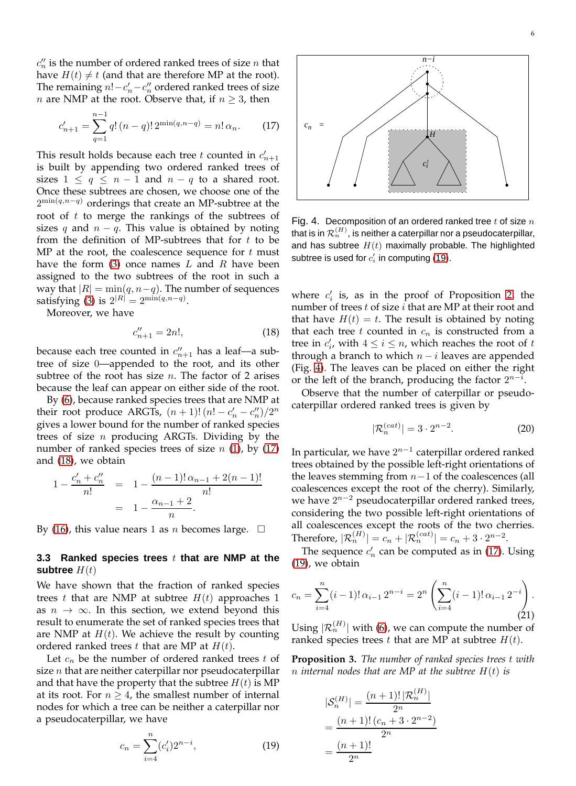<span id="page-5-1"></span>
$$
c'_{n+1} = \sum_{q=1}^{n-1} q! (n-q)! 2^{\min(q, n-q)} = n! \alpha_n.
$$
 (17)

*n* are NMP at the root. Observe that, if  $n \geq 3$ , then

This result holds because each tree  $t$  counted in  $c'_{n+1}$ is built by appending two ordered ranked trees of sizes  $1 \le q \le n-1$  and  $n-q$  to a shared root. Once these subtrees are chosen, we choose one of the  $2^{\min(q,n-q)}$  orderings that create an MP-subtree at the root of  $t$  to merge the rankings of the subtrees of sizes q and  $n - q$ . This value is obtained by noting from the definition of MP-subtrees that for  $t$  to be MP at the root, the coalescence sequence for  $t$  must have the form [\(3\)](#page-1-1) once names  $L$  and  $R$  have been assigned to the two subtrees of the root in such a way that  $|R| = min(q, n-q)$ . The number of sequences satisfying [\(3\)](#page-1-1) is  $2^{|R|} = 2^{\min(q,n-q)}$ .

Moreover, we have

<span id="page-5-2"></span>
$$
c_{n+1}'' = 2n!,\t\t(18)
$$

because each tree counted in  $c''_{n+1}$  has a leaf—a subtree of size 0—appended to the root, and its other subtree of the root has size  $n$ . The factor of 2 arises because the leaf can appear on either side of the root.

By [\(6\)](#page-3-5), because ranked species trees that are NMP at their root produce ARGTs,  $(n+1)!(n! - c'_n - c''_n)/2^n$ gives a lower bound for the number of ranked species trees of size  $n$  producing ARGTs. Dividing by the number of ranked species trees of size  $n$  [\(1\)](#page-1-2), by [\(17\)](#page-5-1) and [\(18\)](#page-5-2), we obtain

$$
1 - \frac{c'_n + c''_n}{n!} = 1 - \frac{(n-1)! \alpha_{n-1} + 2(n-1)!}{n!}
$$
  
= 
$$
1 - \frac{\alpha_{n-1} + 2}{n}.
$$

By [\(16\)](#page-4-5), this value nears 1 as *n* becomes large.  $\square$ 

## <span id="page-5-0"></span>**3.3 Ranked species trees** t **that are NMP at the subtree**  $H(t)$

We have shown that the fraction of ranked species trees t that are NMP at subtree  $H(t)$  approaches 1 as  $n \to \infty$ . In this section, we extend beyond this result to enumerate the set of ranked species trees that are NMP at  $H(t)$ . We achieve the result by counting ordered ranked trees t that are MP at  $H(t)$ .

Let  $c_n$  be the number of ordered ranked trees  $t$  of size  $n$  that are neither caterpillar nor pseudocaterpillar and that have the property that the subtree  $H(t)$  is MP at its root. For  $n \geq 4$ , the smallest number of internal nodes for which a tree can be neither a caterpillar nor a pseudocaterpillar, we have

<span id="page-5-3"></span>
$$
c_n = \sum_{i=4}^{n} (c_i') 2^{n-i}, \tag{19}
$$



<span id="page-5-4"></span>Fig. 4. Decomposition of an ordered ranked tree  $t$  of size  $n$ that is in  $\mathcal{R}_n^{(H)}$ , is neither a caterpillar nor a pseudocaterpillar, and has subtree  $H(t)$  maximally probable. The highlighted subtree is used for  $c_i'$  in computing [\(19\)](#page-5-3).

*ci*

 $c_n$  =

where  $c_i'$  is, as in the proof of Proposition [2,](#page-4-6) the number of trees  $t$  of size  $i$  that are MP at their root and that have  $H(t) = t$ . The result is obtained by noting that each tree t counted in  $c_n$  is constructed from a tree in  $c'_i$ , with  $4 \leq i \leq n$ , which reaches the root of t through a branch to which  $n - i$  leaves are appended (Fig. [4\)](#page-5-4). The leaves can be placed on either the right or the left of the branch, producing the factor  $2^{n-i}$ .

Observe that the number of caterpillar or pseudocaterpillar ordered ranked trees is given by

$$
|\mathcal{R}_n^{(cat)}| = 3 \cdot 2^{n-2}.
$$
 (20)

In particular, we have  $2^{n-1}$  caterpillar ordered ranked trees obtained by the possible left-right orientations of the leaves stemming from  $n-1$  of the coalescences (all coalescences except the root of the cherry). Similarly, we have  $2^{n-2}$  pseudocaterpillar ordered ranked trees, considering the two possible left-right orientations of all coalescences except the roots of the two cherries. Therefore,  $|\mathcal{R}_n^{(H)}| = c_n + |\mathcal{R}_n^{(cat)}| = c_n + 3 \cdot 2^{n-2}$ .

The sequence  $c'_n$  can be computed as in [\(17\)](#page-5-1). Using [\(19\)](#page-5-3), we obtain

$$
c_n = \sum_{i=4}^n (i-1)! \, \alpha_{i-1} \, 2^{n-i} = 2^n \left( \sum_{i=4}^n (i-1)! \, \alpha_{i-1} \, 2^{-i} \right).
$$
\n(21)

Using  $|\mathcal{R}_n^{(H)}|$  with [\(6\)](#page-3-5), we can compute the number of ranked species trees  $t$  that are MP at subtree  $H(t)$ .

<span id="page-5-5"></span>**Proposition 3.** *The number of ranked species trees* t *with* n *internal nodes that are MP at the subtree* H(t) *is*

$$
|\mathcal{S}_n^{(H)}| = \frac{(n+1)! |\mathcal{R}_n^{(H)}|}{2^n}
$$

$$
= \frac{(n+1)! (c_n + 3 \cdot 2^{n-2})}{2^n}
$$

$$
= \frac{(n+1)!}{2^n}
$$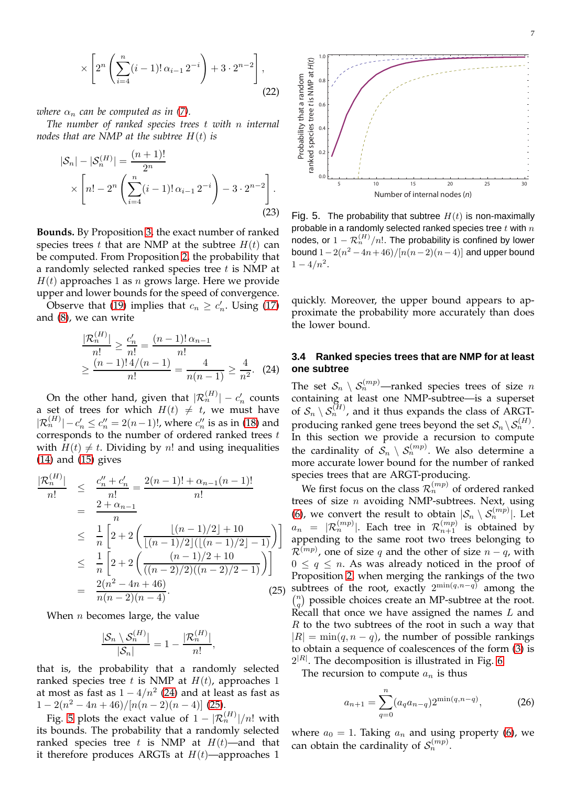$$
\times \left[2^{n} \left(\sum_{i=4}^{n} (i-1)!\,\alpha_{i-1}\,2^{-i}\right) + 3 \cdot 2^{n-2}\right],\tag{22}
$$

*where*  $\alpha_n$  *can be computed as in [\(7\)](#page-3-3).* 

*The number of ranked species trees* t *with* n *internal nodes that are NMP at the subtree* H(t) *is*

<span id="page-6-5"></span>
$$
|\mathcal{S}_n| - |\mathcal{S}_n^{(H)}| = \frac{(n+1)!}{2^n}
$$
  
 
$$
\times \left[ n! - 2^n \left( \sum_{i=4}^n (i-1)! \alpha_{i-1} 2^{-i} \right) - 3 \cdot 2^{n-2} \right].
$$
 (23)

**Bounds.** By Proposition [3,](#page-5-5) the exact number of ranked species trees t that are NMP at the subtree  $H(t)$  can be computed. From Proposition [2,](#page-4-6) the probability that a randomly selected ranked species tree  $t$  is NMP at  $H(t)$  approaches 1 as *n* grows large. Here we provide upper and lower bounds for the speed of convergence.

Observe that [\(19\)](#page-5-3) implies that  $c_n \geq c'_n$ . Using [\(17\)](#page-5-1) and [\(8\)](#page-3-4), we can write

<span id="page-6-1"></span>
$$
\frac{|\mathcal{R}_n^{(H)}|}{n!} \ge \frac{c'_n}{n!} = \frac{(n-1)! \alpha_{n-1}}{n!}
$$
  
 
$$
\ge \frac{(n-1)! \frac{4}{(n-1)}}{n!} = \frac{4}{n(n-1)} \ge \frac{4}{n^2}.
$$
 (24)

On the other hand, given that  $|\mathcal{R}_n^{(H)}| - c_n'$  counts a set of trees for which  $H(t) \neq t$ , we must have  $|\mathcal{R}_n^{(H)}| - c'_n \le c''_n = 2(n-1)!,$  where  $c''_n$  is as in [\(18\)](#page-5-2) and corresponds to the number of ordered ranked trees  $t$ with  $H(t) \neq t$ . Dividing by n! and using inequalities [\(14\)](#page-4-7) and [\(15\)](#page-4-8) gives

<span id="page-6-2"></span>
$$
\frac{|\mathcal{R}_n^{(H)}|}{n!} \leq \frac{c_n'' + c_n'}{n!} = \frac{2(n-1)! + \alpha_{n-1}(n-1)!}{n!}
$$
  
\n
$$
\leq \frac{1}{n} \left[ 2 + 2 \left( \frac{\lfloor (n-1)/2 \rfloor + 10}{\lfloor (n-1)/2 \rfloor (\lfloor (n-1)/2 \rfloor - 1)} \right) \right]
$$
  
\n
$$
\leq \frac{1}{n} \left[ 2 + 2 \left( \frac{(n-1)/2 + 10}{\lfloor (n-2)/2 \rfloor ((n-2)/2 - 1)} \right) \right]
$$
  
\n
$$
= \frac{2(n^2 - 4n + 46)}{n(n-2)(n-4)}.
$$
 (25)

When  $n$  becomes large, the value

$$
\frac{|\mathcal{S}_n \setminus \mathcal{S}_n^{(H)}|}{|\mathcal{S}_n|} = 1 - \frac{|\mathcal{R}_n^{(H)}|}{n!},
$$

that is, the probability that a randomly selected ranked species tree t is NMP at  $H(t)$ , approaches 1 at most as fast as  $1 - 4/n^2$  [\(24\)](#page-6-1) and at least as fast as  $1-2(n^2-4n+46)/[n(n-2)(n-4)]$  [\(25\)](#page-6-2).

Fig. [5](#page-6-3) plots the exact value of  $1 - |\mathcal{R}_n^{(H)}|/n!$  with its bounds. The probability that a randomly selected ranked species tree t is NMP at  $H(t)$ —and that it therefore produces ARGTs at  $H(t)$ —approaches 1



<span id="page-6-3"></span>Fig. 5. The probability that subtree  $H(t)$  is non-maximally probable in a randomly selected ranked species tree  $t$  with  $n$ nodes, or  $1-\mathcal{R}_n^{(H)}/n!$ . The probability is confined by lower bound  $1-2(n^2-4n+46)/[n(n-2)(n-4)]$  and upper bound  $1 - 4/n^2$ .

quickly. Moreover, the upper bound appears to approximate the probability more accurately than does the lower bound.

## <span id="page-6-0"></span>**3.4 Ranked species trees that are NMP for at least one subtree**

The set  $S_n \setminus S_n^{(mp)}$ —ranked species trees of size n containing at least one NMP-subtree—is a superset of  $\mathcal{S}_n \setminus \mathcal{S}_n^{(H)}$ , and it thus expands the class of ARGTproducing ranked gene trees beyond the set  $\mathcal{S}_n \backslash \mathcal{S}_n^{(H)}$ . In this section we provide a recursion to compute the cardinality of  $\mathcal{S}_n \setminus \mathcal{S}_n^{(mp)}$ . We also determine a more accurate lower bound for the number of ranked species trees that are ARGT-producing.

We first focus on the class  $\mathcal{R}_n^{(mp)}$  of ordered ranked trees of size  $n$  avoiding NMP-subtrees. Next, using [\(6\)](#page-3-5), we convert the result to obtain  $|S_n \setminus S_n^{(mp)}|$ . Let  $a_n = |\mathcal{R}_n^{(mp)}|$ . Each tree in  $\mathcal{R}_{n+1}^{(mp)}$  is obtained by appending to the same root two trees belonging to  $\mathcal{R}^{(mp)}$ , one of size q and the other of size  $n - q$ , with  $0 \leq q \leq n$ . As was already noticed in the proof of Proposition [2,](#page-4-6) when merging the rankings of the two subtrees of the root, exactly  $2^{\min(q,n-q)}$  among the  $\binom{n}{q}$  possible choices create an MP-subtree at the root. Recall that once we have assigned the names  $L$  and  $R$  to the two subtrees of the root in such a way that  $|R| = min(q, n - q)$ , the number of possible rankings to obtain a sequence of coalescences of the form [\(3\)](#page-1-1) is  $2^{|R|}$ . The decomposition is illustrated in Fig. [6.](#page-7-0)

The recursion to compute  $a_n$  is thus

<span id="page-6-4"></span>
$$
a_{n+1} = \sum_{q=0}^{n} (a_q a_{n-q}) 2^{\min(q, n-q)},
$$
 (26)

where  $a_0 = 1$ . Taking  $a_n$  and using property [\(6\)](#page-3-5), we can obtain the cardinality of  $S_n^{(mp)}$ .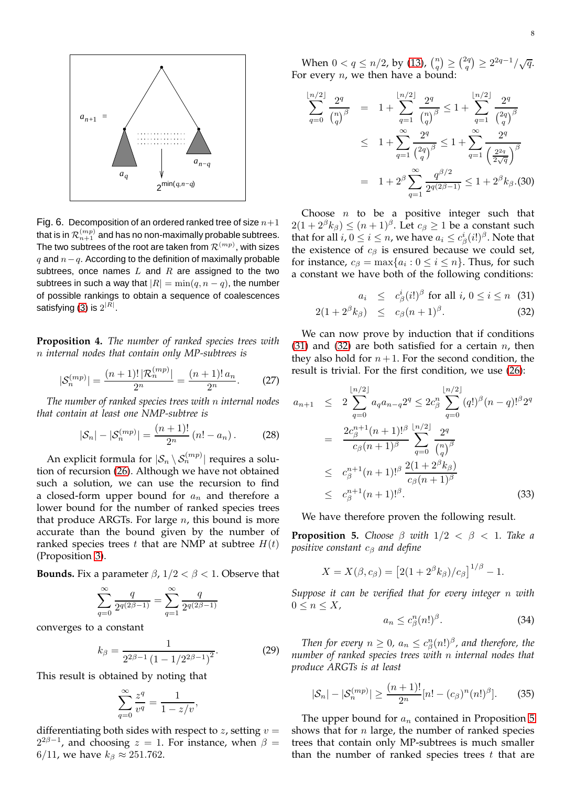

$$
\sum_{q=0}^{\lfloor n/2 \rfloor} \frac{2^q}{\binom{n}{q}^\beta} = 1 + \sum_{q=1}^{\lfloor n/2 \rfloor} \frac{2^q}{\binom{n}{q}^\beta} \le 1 + \sum_{q=1}^{\lfloor n/2 \rfloor} \frac{2^q}{\binom{2q}{q}^\beta}
$$
  

$$
\le 1 + \sum_{q=1}^\infty \frac{2^q}{\binom{2q}{q}^\beta} \le 1 + \sum_{q=1}^\infty \frac{2^q}{\binom{2^2q}{2\sqrt{q}}}^\beta
$$
  

$$
= 1 + 2^\beta \sum_{q=1}^\infty \frac{q^{\beta/2}}{2^{q(2\beta - 1)}} \le 1 + 2^\beta k_\beta. (30)
$$

Choose  $n$  to be a positive integer such that  $2(1+2^{\beta}k_{\beta}) \leq (n+1)^{\beta}$ . Let  $c_{\beta} \geq 1$  be a constant such that for all  $i, 0 \leq i \leq n$ , we have  $a_i \leq c^i_\beta(i!)^\beta$ . Note that the existence of  $c_{\beta}$  is ensured because we could set, for instance,  $c_{\beta} = \max\{a_i : 0 \leq i \leq n\}$ . Thus, for such a constant we have both of the following conditions:

<span id="page-7-1"></span>
$$
a_i \leq c^i_\beta(i!)^\beta \text{ for all } i, 0 \leq i \leq n \quad (31)
$$

$$
2(1+2^{\beta}k_{\beta}) \leq c_{\beta}(n+1)^{\beta}.
$$
 (32)

We can now prove by induction that if conditions [\(31\)](#page-7-1) and [\(32\)](#page-7-1) are both satisfied for a certain  $n$ , then they also hold for  $n+1$ . For the second condition, the result is trivial. For the first condition, we use [\(26\)](#page-6-4):

$$
a_{n+1} \leq 2 \sum_{q=0}^{\lfloor n/2 \rfloor} a_q a_{n-q} 2^q \leq 2c_{\beta}^n \sum_{q=0}^{\lfloor n/2 \rfloor} (q!)^{\beta} (n-q)!^{\beta} 2^q
$$
  

$$
= \frac{2c_{\beta}^{n+1} (n+1)!^{\beta}}{c_{\beta} (n+1)^{\beta}} \sum_{q=0}^{\lfloor n/2 \rfloor} \frac{2^q}{\binom{n}{q}^{\beta}}
$$
  

$$
\leq c_{\beta}^{n+1} (n+1)!^{\beta} \frac{2(1+2^{\beta} k_{\beta})}{c_{\beta} (n+1)^{\beta}}
$$
  

$$
\leq c_{\beta}^{n+1} (n+1)!^{\beta}. \tag{33}
$$

We have therefore proven the following result.

<span id="page-7-2"></span>**Proposition 5.** *Choose*  $\beta$  *with*  $1/2 < \beta < 1$ *. Take a positive constant* c<sup>β</sup> *and define*

$$
X = X(\beta, c_{\beta}) = [2(1 + 2^{\beta}k_{\beta})/c_{\beta}]^{1/\beta} - 1.
$$

*Suppose it can be verified that for every integer* n *with*  $0 \leq n \leq X$ ,

<span id="page-7-3"></span>
$$
a_n \le c_\beta^n (n!)^\beta. \tag{34}
$$

Then for every  $n \geq 0$ ,  $a_n \leq c_\beta^n (n!)^\beta$ , and therefore, the *number of ranked species trees with* n *internal nodes that produce ARGTs is at least*

<span id="page-7-5"></span>
$$
|\mathcal{S}_n| - |\mathcal{S}_n^{(mp)}| \ge \frac{(n+1)!}{2^n} [n! - (c_\beta)^n (n!)^\beta].
$$
 (35)

The upper bound for  $a_n$  contained in Proposition [5](#page-7-2) shows that for  $n$  large, the number of ranked species trees that contain only MP-subtrees is much smaller than the number of ranked species trees  $t$  that are

<span id="page-7-0"></span>

**Proposition 4.** *The number of ranked species trees with* n *internal nodes that contain only MP-subtrees is*

$$
|\mathcal{S}_n^{(mp)}| = \frac{(n+1)! \, |\mathcal{R}_n^{(mp)}|}{2^n} = \frac{(n+1)! \, a_n}{2^n}.
$$
 (27)

*The number of ranked species trees with* n *internal nodes that contain at least one NMP-subtree is*

<span id="page-7-4"></span>
$$
|\mathcal{S}_n| - |\mathcal{S}_n^{(mp)}| = \frac{(n+1)!}{2^n} (n! - a_n). \tag{28}
$$

An explicit formula for  $|\mathcal{S}_n \setminus \mathcal{S}_n^{(mp)}|$  requires a solution of recursion [\(26\)](#page-6-4). Although we have not obtained such a solution, we can use the recursion to find a closed-form upper bound for  $a_n$  and therefore a lower bound for the number of ranked species trees that produce ARGTs. For large  $n$ , this bound is more accurate than the bound given by the number of ranked species trees t that are NMP at subtree  $H(t)$ (Proposition [3\)](#page-5-5).

**Bounds.** Fix a parameter  $\beta$ ,  $1/2 < \beta < 1$ . Observe that

$$
\sum_{q=0}^{\infty} \frac{q}{2^{q(2\beta-1)}} = \sum_{q=1}^{\infty} \frac{q}{2^{q(2\beta-1)}}
$$

converges to a constant

$$
k_{\beta} = \frac{1}{2^{2\beta - 1} (1 - 1/2^{2\beta - 1})^2}.
$$
 (29)

This result is obtained by noting that

$$
\sum_{q=0}^{\infty} \frac{z^q}{v^q} = \frac{1}{1 - z/v},
$$

differentiating both sides with respect to z, setting  $v =$  $2^{2\beta-1}$ , and choosing  $z = 1$ . For instance, when  $\beta =$ 6/11, we have  $k_\beta \approx 251.762$ .

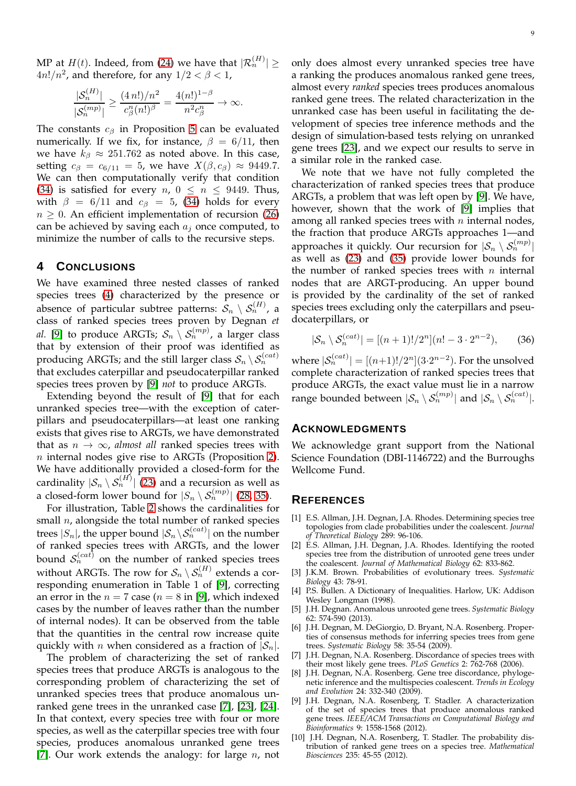MP at  $H(t)$ . Indeed, from [\(24\)](#page-6-1) we have that  $|\mathcal{R}_n^{(H)}| \geq$  $4n!/n^2$ , and therefore, for any  $1/2 < \beta < 1$ ,

$$
\frac{|\mathcal{S}_n^{(H)}|}{|\mathcal{S}_n^{(mp)}|} \ge \frac{(4\,n!) / n^2}{c_{\beta}^n (n!)^{\beta}} = \frac{4(n!)^{1-\beta}}{n^2 c_{\beta}^n} \to \infty.
$$

The constants  $c_\beta$  in Proposition [5](#page-7-2) can be evaluated numerically. If we fix, for instance,  $\beta = 6/11$ , then we have  $k_{\beta} \approx 251.762$  as noted above. In this case, setting  $c_\beta = c_{6/11} = 5$ , we have  $X(\beta, c_\beta) \approx 9449.7$ . We can then computationally verify that condition [\(34\)](#page-7-3) is satisfied for every  $n, 0 \leq n \leq 9449$ . Thus, with  $\beta = 6/11$  and  $c_{\beta} = 5$ , [\(34\)](#page-7-3) holds for every  $n \geq 0$ . An efficient implementation of recursion [\(26\)](#page-6-4) can be achieved by saving each  $a_i$  once computed, to minimize the number of calls to the recursive steps.

## **4 CONCLUSIONS**

We have examined three nested classes of ranked species trees [\(4\)](#page-2-2) characterized by the presence or absence of particular subtree patterns:  $\mathcal{S}_n \setminus \mathcal{S}_n^{(H)}$ , a class of ranked species trees proven by Degnan *et al.* [\[9\]](#page-8-7) to produce ARGTs;  $S_n \setminus S_n^{(mp)}$ , a larger class that by extension of their proof was identified as producing ARGTs; and the still larger class  $S_n \setminus S_n^{(cat)}$ that excludes caterpillar and pseudocaterpillar ranked species trees proven by [\[9\]](#page-8-7) *not* to produce ARGTs.

Extending beyond the result of [\[9\]](#page-8-7) that for each unranked species tree—with the exception of caterpillars and pseudocaterpillars—at least one ranking exists that gives rise to ARGTs, we have demonstrated that as  $n \to \infty$ , *almost all* ranked species trees with  $n$  internal nodes give rise to ARGTs (Proposition [2\)](#page-4-6). We have additionally provided a closed-form for the cardinality  $|\mathcal{S}_n \setminus \mathcal{S}_n^{(H)}|$  [\(23\)](#page-6-5) and a recursion as well as a closed-form lower bound for  $|S_n \setminus \mathcal{S}_n^{(mp)}|$  [\(28,](#page-7-4) [35\)](#page-7-5).

For illustration, Table [2](#page-9-21) shows the cardinalities for small  $n$ , alongside the total number of ranked species trees  $|S_n|$ , the upper bound  $|S_n \backslash S_n^{(cat)}|$  on the number of ranked species trees with ARGTs, and the lower bound  $S_n^{(cat)}$  on the number of ranked species trees without ARGTs. The row for  $S_n \setminus S_n^{(H)}$  extends a corresponding enumeration in Table 1 of [\[9\]](#page-8-7), correcting an error in the  $n = 7$  case ( $n = 8$  in [\[9\]](#page-8-7), which indexed cases by the number of leaves rather than the number of internal nodes). It can be observed from the table that the quantities in the central row increase quite quickly with *n* when considered as a fraction of  $|S_n|$ .

The problem of characterizing the set of ranked species trees that produce ARGTs is analogous to the corresponding problem of characterizing the set of unranked species trees that produce anomalous unranked gene trees in the unranked case [\[7\]](#page-8-9), [\[23\]](#page-9-2), [\[24\]](#page-9-3). In that context, every species tree with four or more species, as well as the caterpillar species tree with four species, produces anomalous unranked gene trees [\[7\]](#page-8-9). Our work extends the analogy: for large  $n$ , not only does almost every unranked species tree have a ranking the produces anomalous ranked gene trees, almost every *ranked* species trees produces anomalous ranked gene trees. The related characterization in the unranked case has been useful in facilitating the development of species tree inference methods and the design of simulation-based tests relying on unranked gene trees [\[23\]](#page-9-2), and we expect our results to serve in a similar role in the ranked case.

We note that we have not fully completed the characterization of ranked species trees that produce ARGTs, a problem that was left open by [\[9\]](#page-8-7). We have, however, shown that the work of [\[9\]](#page-8-7) implies that among all ranked species trees with  $n$  internal nodes, the fraction that produce ARGTs approaches 1—and approaches it quickly. Our recursion for  $|\mathcal{S}_n \setminus \mathcal{S}_n^{(mp)}|$ as well as [\(23\)](#page-6-5) and [\(35\)](#page-7-5) provide lower bounds for the number of ranked species trees with  $n$  internal nodes that are ARGT-producing. An upper bound is provided by the cardinality of the set of ranked species trees excluding only the caterpillars and pseudocaterpillars, or

<span id="page-8-10"></span>
$$
|\mathcal{S}_n \setminus \mathcal{S}_n^{(cat)}| = [(n+1)!/2^n](n! - 3 \cdot 2^{n-2}), \qquad (36)
$$

where  $|S_n^{(cat)}| = [(n+1)!/2^n](3 \cdot 2^{n-2})$ . For the unsolved complete characterization of ranked species trees that produce ARGTs, the exact value must lie in a narrow range bounded between  $|\mathcal{S}_n \setminus \mathcal{S}_n^{(mp)}|$  and  $|\mathcal{S}_n \setminus \mathcal{S}_n^{(cat)}|.$ 

#### **ACKNOWLEDGMENTS**

We acknowledge grant support from the National Science Foundation (DBI-1146722) and the Burroughs Wellcome Fund.

# **REFERENCES**

- <span id="page-8-0"></span>[1] E.S. Allman, J.H. Degnan, J.A. Rhodes. Determining species tree topologies from clade probabilities under the coalescent. *Journal of Theoretical Biology* 289: 96-106.
- <span id="page-8-1"></span>[2] E.S. Allman, J.H. Degnan, J.A. Rhodes. Identifying the rooted species tree from the distribution of unrooted gene trees under the coalescent. *Journal of Mathematical Biology* 62: 833-862.
- <span id="page-8-5"></span>[3] J.K.M. Brown. Probabilities of evolutionary trees. *Systematic Biology* 43: 78-91.
- <span id="page-8-8"></span>[4] P.S. Bullen. A Dictionary of Inequalities. Harlow, UK: Addison Wesley Longman (1998).
- <span id="page-8-2"></span>[5] J.H. Degnan. Anomalous unrooted gene trees. *Systematic Biology* 62: 574-590 (2013).
- <span id="page-8-3"></span>[6] J.H. Degnan, M. DeGiorgio, D. Bryant, N.A. Rosenberg. Properties of consensus methods for inferring species trees from gene trees. *Systematic Biology* 58: 35-54 (2009).
- <span id="page-8-9"></span>[7] J.H. Degnan, N.A. Rosenberg. Discordance of species trees with their most likely gene trees. *PLoS Genetics* 2: 762-768 (2006).
- <span id="page-8-4"></span>[8] J.H. Degnan, N.A. Rosenberg. Gene tree discordance, phylogenetic inference and the multispecies coalescent. *Trends in Ecology and Evolution* 24: 332-340 (2009).
- <span id="page-8-7"></span>[9] J.H. Degnan, N.A. Rosenberg, T. Stadler. A characterization of the set of species trees that produce anomalous ranked gene trees. *IEEE/ACM Transactions on Computational Biology and Bioinformatics* 9: 1558-1568 (2012).
- <span id="page-8-6"></span>[10] J.H. Degnan, N.A. Rosenberg, T. Stadler. The probability distribution of ranked gene trees on a species tree. *Mathematical Biosciences* 235: 45-55 (2012).